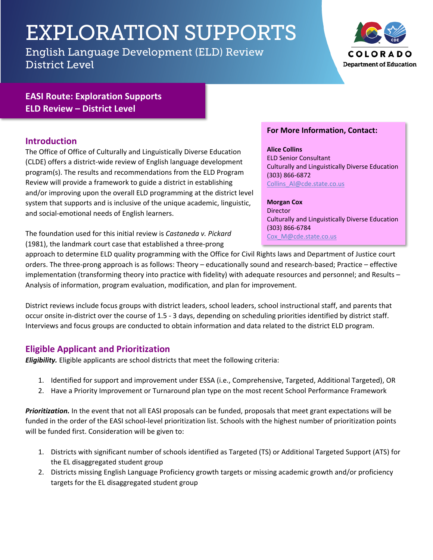# EXPLORATION SUPPORTS

English Language Development (ELD) Review District Level



# **EASI Route: Exploration Supports ELD Review – District Level**

### **Introduction**

The Office of Office of Culturally and Linguistically Diverse Education (CLDE) offers a district-wide review of English language development program(s). The results and recommendations from the ELD Program Review will provide a framework to guide a district in establishing and/or improving upon the overall ELD programming at the district level system that supports and is inclusive of the unique academic, linguistic, and social-emotional needs of English learners.

The foundation used for this initial review is *Castaneda v. Pickard* (1981), the landmark court case that established a three-prong

#### **For More Information, Contact:**

**Alice Collins** ELD Senior Consultant Culturally and Linguistically Diverse Education (303) 866-6872 Collins\_Al@cde.state.co.us

**Morgan Cox** Director Culturally and Linguistically Diverse Education (303) 866-6784 Cox\_M@cde.state.co.us

approach to determine ELD quality programming with the Office for Civil Rights laws and Department of Justice court orders. The three-prong approach is as follows: Theory – educationally sound and research-based; Practice – effective implementation (transforming theory into practice with fidelity) with adequate resources and personnel; and Results – Analysis of information, program evaluation, modification, and plan for improvement.

District reviews include focus groups with district leaders, school leaders, school instructional staff, and parents that occur onsite in-district over the course of 1.5 - 3 days, depending on scheduling priorities identified by district staff. Interviews and focus groups are conducted to obtain information and data related to the district ELD program.

### **Eligible Applicant and Prioritization**

*Eligibility.* Eligible applicants are school districts that meet the following criteria:

- 1. Identified for support and improvement under ESSA (i.e., Comprehensive, Targeted, Additional Targeted), OR
- 2. Have a Priority Improvement or Turnaround plan type on the most recent School Performance Framework

*Prioritization.* In the event that not all EASI proposals can be funded, proposals that meet grant expectations will be funded in the order of the EASI school-level prioritization list. Schools with the highest number of prioritization points will be funded first. Consideration will be given to:

- 1. Districts with significant number of schools identified as Targeted (TS) or Additional Targeted Support (ATS) for the EL disaggregated student group
- 2. Districts missing English Language Proficiency growth targets or missing academic growth and/or proficiency targets for the EL disaggregated student group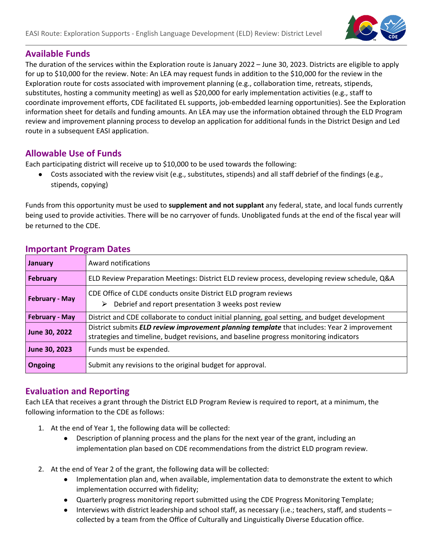

## **Available Funds**

The duration of the services within the Exploration route is January 2022 – June 30, 2023. Districts are eligible to apply for up to \$10,000 for the review. Note: An LEA may request funds in addition to the \$10,000 for the review in the Exploration route for costs associated with improvement planning (e.g., collaboration time, retreats, stipends, substitutes, hosting a community meeting) as well as \$20,000 for early implementation activities (e.g., staff to coordinate improvement efforts, CDE facilitated EL supports, job-embedded learning opportunities). See the Exploration information sheet for details and funding amounts. An LEA may use the information obtained through the ELD Program review and improvement planning process to develop an application for additional funds in the District Design and Led route in a subsequent EASI application.

# **Allowable Use of Funds**

Each participating district will receive up to \$10,000 to be used towards the following:

● Costs associated with the review visit (e.g., substitutes, stipends) and all staff debrief of the findings (e.g., stipends, copying)

Funds from this opportunity must be used to **supplement and not supplant** any federal, state, and local funds currently being used to provide activities. There will be no carryover of funds. Unobligated funds at the end of the fiscal year will be returned to the CDE.

| January               | Award notifications                                                                                                                                                                   |
|-----------------------|---------------------------------------------------------------------------------------------------------------------------------------------------------------------------------------|
| <b>February</b>       | ELD Review Preparation Meetings: District ELD review process, developing review schedule, Q&A                                                                                         |
| <b>February - May</b> | CDE Office of CLDE conducts onsite District ELD program reviews<br>$\triangleright$ Debrief and report presentation 3 weeks post review                                               |
| <b>February - May</b> | District and CDE collaborate to conduct initial planning, goal setting, and budget development                                                                                        |
| June 30, 2022         | District submits ELD review improvement planning template that includes: Year 2 improvement<br>strategies and timeline, budget revisions, and baseline progress monitoring indicators |
| June 30, 2023         | Funds must be expended.                                                                                                                                                               |
| Ongoing               | Submit any revisions to the original budget for approval.                                                                                                                             |

### **Important Program Dates**

### **Evaluation and Reporting**

Each LEA that receives a grant through the District ELD Program Review is required to report, at a minimum, the following information to the CDE as follows:

- 1. At the end of Year 1, the following data will be collected:
	- Description of planning process and the plans for the next year of the grant, including an implementation plan based on CDE recommendations from the district ELD program review.
- 2. At the end of Year 2 of the grant, the following data will be collected:
	- Implementation plan and, when available, implementation data to demonstrate the extent to which implementation occurred with fidelity;
	- Quarterly progress monitoring report submitted using the CDE Progress Monitoring Template;
	- Interviews with district leadership and school staff, as necessary (i.e.; teachers, staff, and students collected by a team from the Office of Culturally and Linguistically Diverse Education office.